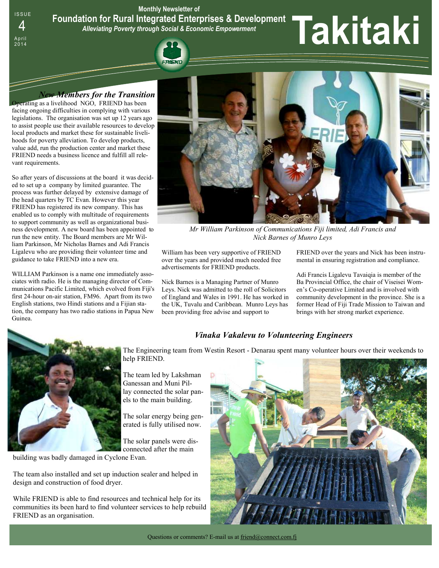**Monthly Newsletter of Foundation for Rural Integrated Enterprises & Development**  *Alleviating Poverty through Social & Economic Empowerment*  Foundation for Rural Integrated Enterprises & Development<br>4 Alleviating Poverty through Social & Economic Empowerment<br>2014

## *New Members for the Transition*

Operating as a livelihood NGO, FRIEND has been facing ongoing difficulties in complying with various legislations. The organisation was set up 12 years ago to assist people use their available resources to develop local products and market these for sustainable livelihoods for poverty alleviation. To develop products, value add, run the production center and market these FRIEND needs a business licence and fulfill all relevant requirements.

**ISSUE** 

April<br>2014

So after years of discussions at the board it was decided to set up a company by limited guarantee. The process was further delayed by extensive damage of the head quarters by TC Evan. However this year FRIEND has registered its new company. This has enabled us to comply with multitude of requirements to support community as well as organizational business development. A new board has been appointed to run the new entity. The Board members are Mr William Parkinson, Mr Nicholas Barnes and Adi Francis Ligalevu who are providing their volunteer time and guidance to take FRIEND into a new era.

WILLIAM Parkinson is a name one immediately associates with radio. He is the managing director of Communications Pacific Limited, which evolved from Fiji's first 24-hour on-air station, FM96. Apart from its two English stations, two Hindi stations and a Fijian station, the company has two radio stations in Papua New Guinea.



*Mr William Parkinson of Communications Fiji limited, Adi Francis and Nick Barnes of Munro Leys* 

William has been very supportive of FRIEND over the years and provided much needed free advertisements for FRIEND products.

Nick Barnes is a Managing Partner of Munro Leys. Nick was admitted to the roll of Solicitors of England and Wales in 1991. He has worked in the UK, Tuvalu and Caribbean. Munro Leys has been providing free advise and support to

FRIEND over the years and Nick has been instrumental in ensuring registration and compliance.

Adi Francis Ligalevu Tavaiqia is member of the Ba Provincial Office, the chair of Viseisei Women's Co-operative Limited and is involved with community development in the province. She is a former Head of Fiji Trade Mission to Taiwan and brings with her strong market experience.



*Vinaka Vakalevu to Volunteering Engineers* 

The Engineering team from Westin Resort - Denarau spent many volunteer hours over their weekends to help FRIEND.

The team led by Lakshman Ganessan and Muni Pillay connected the solar panels to the main building.

The solar energy being generated is fully utilised now.

The solar panels were disconnected after the main

building was badly damaged in Cyclone Evan.

The team also installed and set up induction sealer and helped in design and construction of food dryer.

While FRIEND is able to find resources and technical help for its communities its been hard to find volunteer services to help rebuild FRIEND as an organisation.

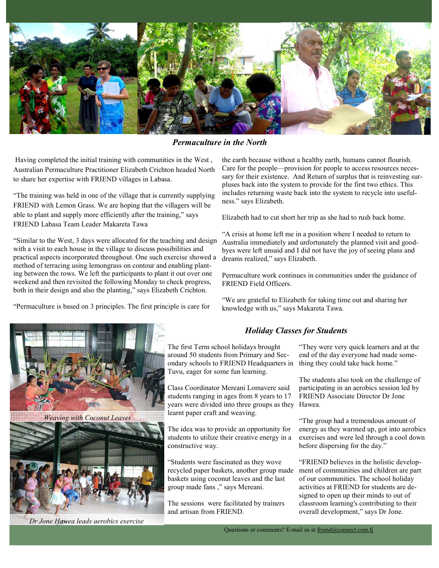

*Permaculture in the North* 

 Having completed the initial training with communities in the West , Australian Permaculture Practitioner Elizabeth Crichton headed North to share her expertise with FRIEND villages in Labasa.

"The training was held in one of the village that is currently supplying FRIEND with Lemon Grass. We are hoping that the villagers will be able to plant and supply more efficiently after the training," says FRIEND Labasa Team Leader Makareta Tawa

"Similar to the West, 3 days were allocated for the teaching and design with a visit to each house in the village to discuss possibilities and practical aspects incorporated throughout. One such exercise showed a method of terracing using lemongrass on contour and enabling planting between the rows. We left the participants to plant it out over one weekend and then revisited the following Monday to check progress, both in their design and also the planting," says Elizabeth Crichton.

"Permaculture is based on 3 principles. The first principle is care for



the earth because without a healthy earth, humans cannot flourish. Care for the people—provision for people to access resources necessary for their existence. And Return of surplus that is reinvesting surpluses back into the system to provide for the first two ethics. This includes returning waste back into the system to recycle into usefulness." says Elizabeth.

Elizabeth had to cut short her trip as she had to rush back home.

"A crisis at home left me in a position where I needed to return to Australia immediately and unfortunately the planned visit and goodbyes were left unsaid and I did not have the joy of seeing plans and dreams realized," says Elizabeth.

Permaculture work continues in communities under the guidance of FRIEND Field Officers.

"We are grateful to Elizabeth for taking time out and sharing her knowledge with us," says Makareta Tawa.

## *Holiday Classes for Students*

The first Term school holidays brought around 50 students from Primary and Secondary schools to FRIEND Headquarters in Tuvu, eager for some fun learning.

Class Coordinator Mereani Lomavere said students ranging in ages from 8 years to 17 years were divided into three groups as they Hawea. learnt paper craft and weaving.

The idea was to provide an opportunity for students to utilize their creative energy in a constructive way.

"Students were fascinated as they wove recycled paper baskets, another group made baskets using coconut leaves and the last group made fans ," says Mereani.

The sessions were facilitated by trainers and artisan from FRIEND.

"They were very quick learners and at the end of the day everyone had made something they could take back home."

The students also took on the challenge of participating in an aerobics session led by FRIEND Associate Director Dr Jone

"The group had a tremendous amount of energy as they warmed up, got into aerobics exercises and were led through a cool down before dispersing for the day."

"FRIEND believes in the holistic development of communities and children are part of our communities. The school holiday activities at FRIEND for students are designed to open up their minds to out of classroom learning's contributing to their overall development," says Dr Jone.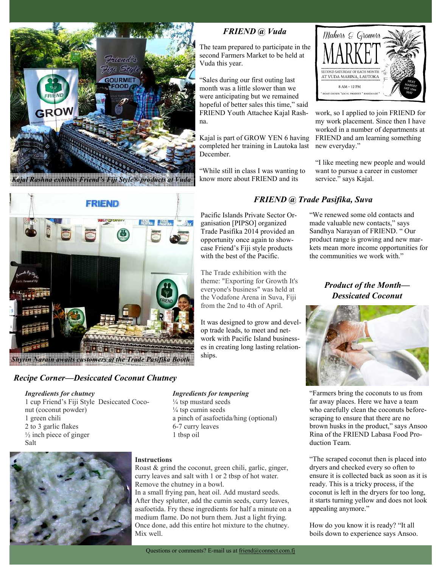

# *FRIEND @ Vuda*

The team prepared to participate in the second Farmers Market to be held at Vuda this year.

"Sales during our first outing last month was a little slower than we were anticipating but we remained hopeful of better sales this time," said FRIEND Youth Attachee Kajal Rashna.

Kajal is part of GROW YEN 6 having completed her training in Lautoka last December.

"While still in class I was wanting to know more about FRIEND and its



work, so I applied to join FRIEND for my work placement. Since then I have worked in a number of departments at FRIEND and am learning something new everyday."

"I like meeting new people and would want to pursue a career in customer service." says Kajal.



## *Recipe Corner—Desiccated Coconut Chutney*

### *Ingredients for chutney*

1 cup Friend's Fiji Style Desiccated Coconut (coconut powder) 1 green chili 2 to 3 garlic flakes  $\frac{1}{2}$  inch piece of ginger Salt



# **Instructions**

Roast & grind the coconut, green chili, garlic, ginger, curry leaves and salt with 1 or 2 tbsp of hot water. Remove the chutney in a bowl.

*Ingredients for tempering*   $\frac{1}{4}$  tsp mustard seeds  $\frac{1}{4}$  tsp cumin seeds

6-7 curry leaves 1 tbsp oil

a pinch of asafoetida/hing (optional)

In a small frying pan, heat oil. Add mustard seeds. After they splutter, add the cumin seeds, curry leaves, asafoetida. Fry these ingredients for half a minute on a medium flame. Do not burn them. Just a light frying. Once done, add this entire hot mixture to the chutney. Mix well.

# *FRIEND @ Trade Pasifika, Suva*

Pacific Islands Private Sector Organisation [PIPSO] organized Trade Pasifika 2014 provided an opportunity once again to showcase Friend's Fiji style products with the best of the Pacific. "We renewed some old contacts and

The Trade exhibition with the theme: "Exporting for Growth It's everyone's business" was held at the Vodafone Arena in Suva, Fiji from the 2nd to 4th of April.

It was designed to grow and develop trade leads, to meet and network with Pacific Island businesses in creating long lasting relationships.

made valuable new contacts," says Sandhya Narayan of FRIEND. " Our product range is growing and new markets mean more income opportunities for the communities we work with."

> *Product of the Month— Dessicated Coconut*



"Farmers bring the coconuts to us from far away places. Here we have a team who carefully clean the coconuts beforescraping to ensure that there are no brown husks in the product," says Ansoo Rina of the FRIEND Labasa Food Production Team.

"The scraped coconut then is placed into dryers and checked every so often to ensure it is collected back as soon as it is ready. This is a tricky process, if the coconut is left in the dryers for too long, it starts turning yellow and does not look appealing anymore."

How do you know it is ready? "It all boils down to experience says Ansoo.